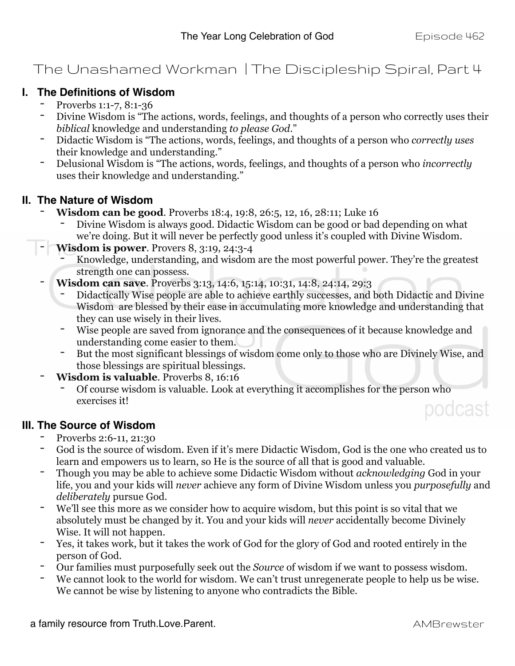### The Unashamed Workman | The Discipleship Spiral, Part 4

### **I. The Definitions of Wisdom** - Proverbs 1:1-7, 8:1-36

- 
- Divine Wisdom is "The actions, words, feelings, and thoughts of a person who correctly uses their *biblical* knowledge and understanding *to please God*."
- Didactic Wisdom is "The actions, words, feelings, and thoughts of a person who *correctly uses*  their knowledge and understanding."
- Delusional Wisdom is "The actions, words, feelings, and thoughts of a person who *incorrectly* uses their knowledge and understanding."

- **II. The Nature of Wisdom**<br> **Wisdom can be good**. Proverbs 18:4, 19:8, 26:5, 12, 16, 28:11; Luke 16
	- Divine Wisdom is always good. Didactic Wisdom can be good or bad depending on what we're doing. But it will never be perfectly good unless it's coupled with Divine Wisdom.
	- **Wisdom is power**. Provers 8, 3:19, 24:3-4
		- Knowledge, understanding, and wisdom are the most powerful power. They're the greatest strength one can possess.
	- **Wisdom can save**. Proverbs 3:13, 14:6, 15:14, 10:31, 14:8, 24:14, 29:3
		- Didactically Wise people are able to achieve earthly successes, and both Didactic and Divine Wisdom are blessed by their ease in accumulating more knowledge and understanding that they can use wisely in their lives.
		- Wise people are saved from ignorance and the consequences of it because knowledge and understanding come easier to them.
		- But the most significant blessings of wisdom come only to those who are Divinely Wise, and those blessings are spiritual blessings.
	- **Wisdom is valuable**. Proverbs 8, 16:16
		- Of course wisdom is valuable. Look at everything it accomplishes for the person who exercises it! podcast

# **III. The Source of Wisdom**<br>Proverbs 2:6-11, 21:30

- 
- God is the source of wisdom. Even if it's mere Didactic Wisdom, God is the one who created us to learn and empowers us to learn, so He is the source of all that is good and valuable.
- Though you may be able to achieve some Didactic Wisdom without *acknowledging* God in your life, you and your kids will *never* achieve any form of Divine Wisdom unless you *purposefully* and *deliberately* pursue God.
- We'll see this more as we consider how to acquire wisdom, but this point is so vital that we absolutely must be changed by it. You and your kids will *never* accidentally become Divinely Wise. It will not happen.
- Yes, it takes work, but it takes the work of God for the glory of God and rooted entirely in the person of God.
- Our families must purposefully seek out the *Source* of wisdom if we want to possess wisdom.
- We cannot look to the world for wisdom. We can't trust unregenerate people to help us be wise. We cannot be wise by listening to anyone who contradicts the Bible.

a family resource from Truth.Love.Parent. AMBrewster